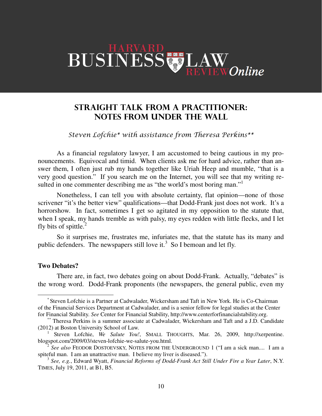# BUSINESS LAW

# STRAIGHT TALK FROM A PRACTITIONER: NOTES FROM UNDER THE WALL

## Steven Lofchie\* with assistance from Theresa Perkins\*\*

As a financial regulatory lawyer, I am accustomed to being cautious in my pronouncements. Equivocal and timid. When clients ask me for hard advice, rather than answer them, I often just rub my hands together like Uriah Heep and mumble, "that is a very good question." If you search me on the Internet, you will see that my writing resulted in one commenter describing me as "the world's most boring man."<sup>1</sup>

Nonetheless, I can tell you with absolute certainty, flat opinion—none of those scrivener "it's the better view" qualifications—that Dodd-Frank just does not work. It's a horrorshow. In fact, sometimes I get so agitated in my opposition to the statute that, when I speak, my hands tremble as with palsy, my eyes redden with little flecks, and I let fly bits of spittle. $^{2}$ 

So it surprises me, frustrates me, infuriates me, that the statute has its many and public defenders. The newspapers still love it.<sup>3</sup> So I bemoan and let fly.

### **Two Debates?**

 $\overline{a}$ 

There are, in fact, two debates going on about Dodd-Frank. Actually, "debates" is the wrong word. Dodd-Frank proponents (the newspapers, the general public, even my

<sup>\*</sup> Steven Lofchie is a Partner at Cadwalader, Wickersham and Taft in New York. He is Co-Chairman of the Financial Services Department at Cadwalader, and is a senior fellow for legal studies at the Center for Financial Stability. *See* Center for Financial Stability, http://www.centerforfinancialstability.org.

<sup>\*\*</sup> Theresa Perkins is a summer associate at Cadwalader, Wickersham and Taft and a J.D. Candidate (2012) at Boston University School of Law.

<sup>&</sup>lt;sup>1</sup> Steven Lofchie, *We Salute You!*, SMALL THOUGHTS, Mar. 26, 2009, http://xerpentine. blogspot.com/2009/03/steven-lofchie-we-salute-you.html.

<sup>2</sup>  *See also* FEODOR DOSTOEVSKY, NOTES FROM THE UNDERGROUND 1 ("I am a sick man.... I am a spiteful man. I am an unattractive man. I believe my liver is diseased.").

<sup>3</sup> *See, e.g.*, Edward Wyatt, *Financial Reforms of Dodd-Frank Act Still Under Fire a Year Later*, N.Y. TIMES, July 19, 2011, at B1, B5.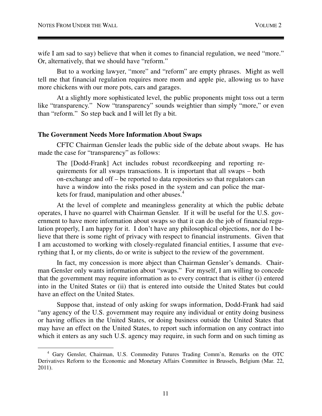$\overline{a}$ 

wife I am sad to say) believe that when it comes to financial regulation, we need "more." Or, alternatively, that we should have "reform."

But to a working lawyer, "more" and "reform" are empty phrases. Might as well tell me that financial regulation requires more mom and apple pie, allowing us to have more chickens with our more pots, cars and garages.

At a slightly more sophisticated level, the public proponents might toss out a term like "transparency." Now "transparency" sounds weightier than simply "more," or even than "reform." So step back and I will let fly a bit.

#### **The Government Needs More Information About Swaps**

CFTC Chairman Gensler leads the public side of the debate about swaps. He has made the case for "transparency" as follows:

The [Dodd-Frank] Act includes robust recordkeeping and reporting requirements for all swaps transactions. It is important that all swaps – both on-exchange and off – be reported to data repositories so that regulators can have a window into the risks posed in the system and can police the markets for fraud, manipulation and other abuses.<sup>4</sup>

At the level of complete and meaningless generality at which the public debate operates, I have no quarrel with Chairman Gensler. If it will be useful for the U.S. government to have more information about swaps so that it can do the job of financial regulation properly, I am happy for it. I don't have any philosophical objections, nor do I believe that there is some right of privacy with respect to financial instruments. Given that I am accustomed to working with closely-regulated financial entities, I assume that everything that I, or my clients, do or write is subject to the review of the government.

In fact, my concession is more abject than Chairman Gensler's demands. Chairman Gensler only wants information about "swaps." For myself, I am willing to concede that the government may require information as to every contract that is either (i) entered into in the United States or (ii) that is entered into outside the United States but could have an effect on the United States.

Suppose that, instead of only asking for swaps information, Dodd-Frank had said "any agency of the U.S. government may require any individual or entity doing business or having offices in the United States, or doing business outside the United States that may have an effect on the United States, to report such information on any contract into which it enters as any such U.S. agency may require, in such form and on such timing as

<sup>4</sup> Gary Gensler, Chairman, U.S. Commodity Futures Trading Comm'n, Remarks on the OTC Derivatives Reform to the Economic and Monetary Affairs Committee in Brussels, Belgium (Mar. 22, 2011).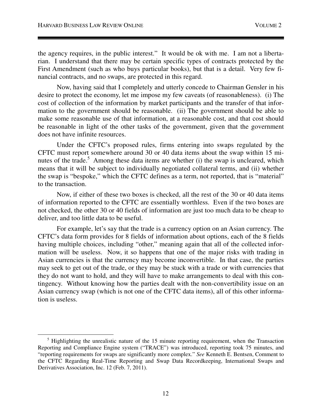$\overline{a}$ 

the agency requires, in the public interest." It would be ok with me. I am not a libertarian. I understand that there may be certain specific types of contracts protected by the First Amendment (such as who buys particular books), but that is a detail. Very few financial contracts, and no swaps, are protected in this regard.

Now, having said that I completely and utterly concede to Chairman Gensler in his desire to protect the economy, let me impose my few caveats (of reasonableness). (i) The cost of collection of the information by market participants and the transfer of that information to the government should be reasonable. (ii) The government should be able to make some reasonable use of that information, at a reasonable cost, and that cost should be reasonable in light of the other tasks of the government, given that the government does not have infinite resources.

Under the CFTC's proposed rules, firms entering into swaps regulated by the CFTC must report somewhere around 30 or 40 data items about the swap within 15 minutes of the trade.<sup>5</sup> Among these data items are whether (i) the swap is uncleared, which means that it will be subject to individually negotiated collateral terms, and (ii) whether the swap is "bespoke," which the CFTC defines as a term, not reported, that is "material" to the transaction.

Now, if either of these two boxes is checked, all the rest of the 30 or 40 data items of information reported to the CFTC are essentially worthless. Even if the two boxes are not checked, the other 30 or 40 fields of information are just too much data to be cheap to deliver, and too little data to be useful.

For example, let's say that the trade is a currency option on an Asian currency. The CFTC's data form provides for 8 fields of information about options, each of the 8 fields having multiple choices, including "other," meaning again that all of the collected information will be useless. Now, it so happens that one of the major risks with trading in Asian currencies is that the currency may become inconvertible. In that case, the parties may seek to get out of the trade, or they may be stuck with a trade or with currencies that they do not want to hold, and they will have to make arrangements to deal with this contingency. Without knowing how the parties dealt with the non-convertibility issue on an Asian currency swap (which is not one of the CFTC data items), all of this other information is useless.

<sup>&</sup>lt;sup>5</sup> Highlighting the unrealistic nature of the 15 minute reporting requirement, when the Transaction Reporting and Compliance Engine system ("TRACE") was introduced, reporting took 75 minutes, and "reporting requirements for swaps are significantly more complex." *See* Kenneth E. Bentsen, Comment to the CFTC Regarding Real-Time Reporting and Swap Data Recordkeeping, International Swaps and Derivatives Association, Inc. 12 (Feb. 7, 2011).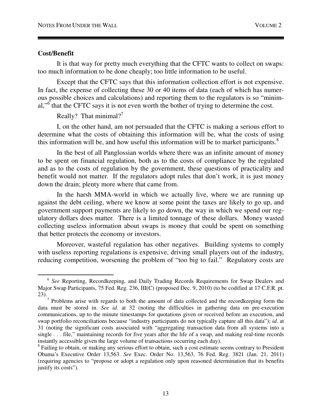#### **Cost/Benefit**

 $\overline{a}$ 

It is that way for pretty much everything that the CFTC wants to collect on swaps: too much information to be done cheaply; too little information to be useful.

Except that the CFTC says that this information collection effort is not expensive. In fact, the expense of collecting these 30 or 40 items of data (each of which has numerous possible choices and calculations) and reporting them to the regulators is so "minimal,"<sup>6</sup> that the CFTC says it is not even worth the bother of trying to determine the cost.

Really? That minimal?<sup>7</sup>

I, on the other hand, am not persuaded that the CFTC is making a serious effort to determine what the costs of obtaining this information will be, what the costs of using this information will be, and how useful this information will be to market participants. $8$ 

In the best of all Panglossian worlds where there was an infinite amount of money to be spent on financial regulation, both as to the costs of compliance by the regulated and as to the costs of regulation by the government, these questions of practicality and benefit would not matter. If the regulators adopt rules that don't work, it is just money down the drain; plenty more where that came from.

In the harsh MMA-world in which we actually live, where we are running up against the debt ceiling, where we know at some point the taxes are likely to go up, and government support payments are likely to go down, the way in which we spend our regulatory dollars does matter. There is a limited tonnage of these dollars. Money wasted collecting useless information about swaps is money that could be spent on something that better protects the economy or investors.

Moreover, wasteful regulation has other negatives. Building systems to comply with useless reporting regulations is expensive, driving small players out of the industry, reducing competition, worsening the problem of "too big to fail." Regulatory costs are

<sup>&</sup>lt;sup>6</sup> See Reporting, Recordkeeping, and Daily Trading Records Requirements for Swap Dealers and Major Swap Participants, 75 Fed. Reg. 236, III(C) (proposed Dec. 9, 2010) (to be codified at 17 C.F.R. pt. 23).

 $<sup>7</sup>$  Problems arise with regards to both the amount of data collected and the recordkeeping form the</sup> data must be stored in. *See id*. at 32 (noting the difficulties in gathering data on pre-execution communications, up to the minute timestamps for quotations given or received before an execution, and swap portfolio reconciliations because "industry participants do not typically capture all this data"); *id.* at 31 (noting the significant costs associated with "aggregating transaction data from all systems into a single . . . file," maintaining records for five years after the life of a swap, and making real-time records instantly accessible given the large volume of transactions occurring each day).

<sup>&</sup>lt;sup>8</sup> Failing to obtain, or making any serious effort to obtain, such a cost estimate seems contrary to President Obama's Executive Order 13,563. *See* Exec. Order No. 13,563, 76 Fed. Reg. 3821 (Jan. 21, 2011) (requiring agencies to "propose or adopt a regulation only upon reasoned determination that its benefits justify its costs").